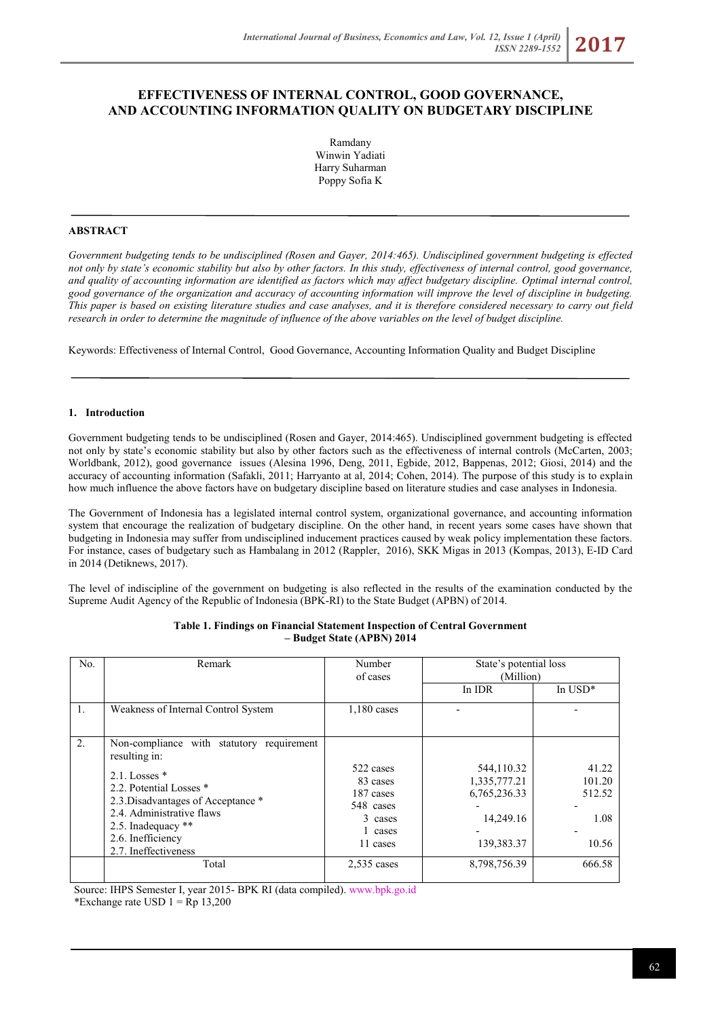# **EFFECTIVENESS OF INTERNAL CONTROL, GOOD GOVERNANCE, AND ACCOUNTING INFORMATION QUALITY ON BUDGETARY DISCIPLINE**

Ramdany Winwin Yadiati Harry Suharman Poppy Sofia K

### **ABSTRACT**

*Government budgeting tends to be undisciplined (Rosen and Gayer, 2014:465). Undisciplined government budgeting is effected not only by state's economic stability but also by other factors. In this study, effectiveness of internal control, good governance, and quality of accounting information are identified as factors which may affect budgetary discipline. Optimal internal control, good governance of the organization and accuracy of accounting information will improve the level of discipline in budgeting. This paper is based on existing literature studies and case analyses, and it is therefore considered necessary to carry out field research in order to determine the magnitude of influence of the above variables on the level of budget discipline.*

Keywords: Effectiveness of Internal Control, Good Governance, Accounting Information Quality and Budget Discipline

### **1. Introduction**

Government budgeting tends to be undisciplined (Rosen and Gayer, 2014:465). Undisciplined government budgeting is effected not only by state's economic stability but also by other factors such as the effectiveness of internal controls (McCarten, 2003; Worldbank, 2012), good governance issues (Alesina 1996, Deng, 2011, Egbide, 2012, Bappenas, 2012; Giosi, 2014) and the accuracy of accounting information (Safakli, 2011; Harryanto at al, 2014; Cohen, 2014). The purpose of this study is to explain how much influence the above factors have on budgetary discipline based on literature studies and case analyses in Indonesia.

The Government of Indonesia has a legislated internal control system, organizational governance, and accounting information system that encourage the realization of budgetary discipline. On the other hand, in recent years some cases have shown that budgeting in Indonesia may suffer from undisciplined inducement practices caused by weak policy implementation these factors. For instance, cases of budgetary such as Hambalang in 2012 (Rappler, 2016), SKK Migas in 2013 (Kompas, 2013), E-ID Card in 2014 (Detiknews, 2017).

The level of indiscipline of the government on budgeting is also reflected in the results of the examination conducted by the Supreme Audit Agency of the Republic of Indonesia (BPK-RI) to the State Budget (APBN) of 2014.

| No.              | Remark                                                                                                                                                                                                                                            | Number<br>of cases                                                                | State's potential loss<br>(Million)                                   |                                            |
|------------------|---------------------------------------------------------------------------------------------------------------------------------------------------------------------------------------------------------------------------------------------------|-----------------------------------------------------------------------------------|-----------------------------------------------------------------------|--------------------------------------------|
|                  |                                                                                                                                                                                                                                                   |                                                                                   | In IDR                                                                | In $USD^*$                                 |
| 1.               | Weakness of Internal Control System                                                                                                                                                                                                               | $1,180$ cases                                                                     |                                                                       |                                            |
| $\overline{2}$ . | Non-compliance with statutory requirement<br>resulting in:<br>$2.1$ . Losses $*$<br>2.2. Potential Losses *<br>2.3. Disadvantages of Acceptance *<br>2.4. Administrative flaws<br>2.5. Inadequacy **<br>2.6. Inefficiency<br>2.7. Ineffectiveness | 522 cases<br>83 cases<br>187 cases<br>548 cases<br>3 cases<br>1 cases<br>11 cases | 544,110.32<br>1,335,777.21<br>6,765,236.33<br>14,249.16<br>139,383.37 | 41.22<br>101.20<br>512.52<br>1.08<br>10.56 |
|                  | Total                                                                                                                                                                                                                                             | $2,535$ cases                                                                     | 8,798,756.39                                                          | 666.58                                     |

**Table 1. Findings on Financial Statement Inspection of Central Government – Budget State (APBN) 2014**

Source: IHPS Semester I, year 2015- BPK RI (data compiled)[. www.bpk.go.id](http://www.bpk.go.id/)

\*Exchange rate USD  $1 =$ Rp 13,200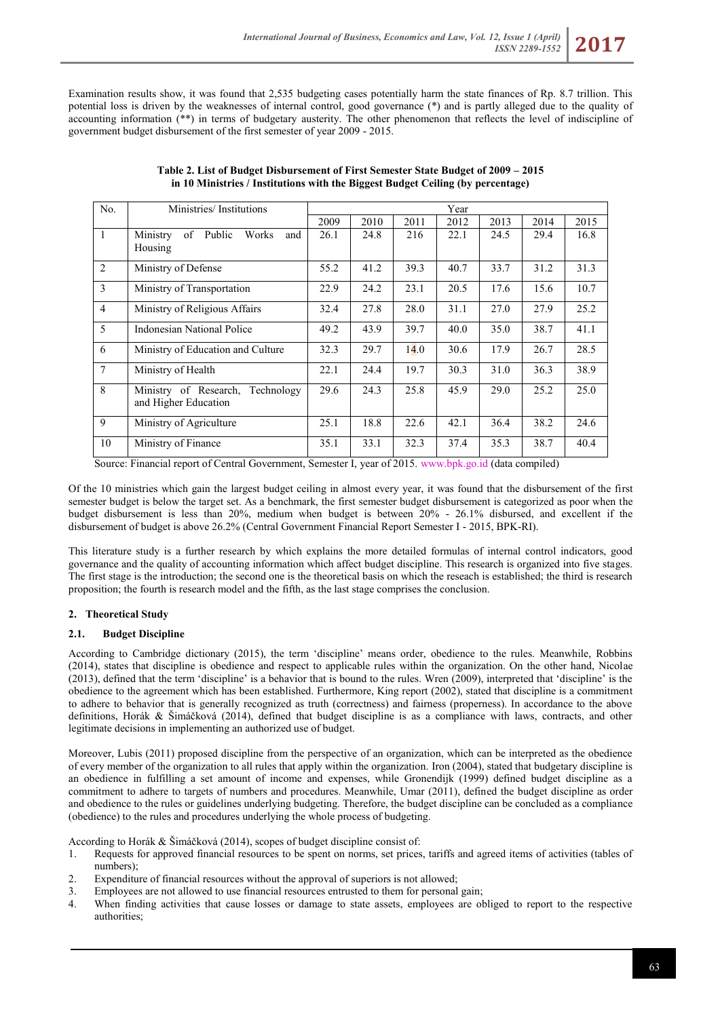Examination results show, it was found that 2,535 budgeting cases potentially harm the state finances of Rp. 8.7 trillion. This potential loss is driven by the weaknesses of internal control, good governance (\*) and is partly alleged due to the quality of accounting information (\*\*) in terms of budgetary austerity. The other phenomenon that reflects the level of indiscipline of government budget disbursement of the first semester of year 2009 - 2015.

| No.             | Ministries/Institutions                                  | Year |      |      |      |      |      |      |
|-----------------|----------------------------------------------------------|------|------|------|------|------|------|------|
|                 |                                                          | 2009 | 2010 | 2011 | 2012 | 2013 | 2014 | 2015 |
| $\overline{1}$  | Ministry<br>of Public<br>Works<br>and<br>Housing         | 26.1 | 24.8 | 216  | 22.1 | 24.5 | 29.4 | 16.8 |
|                 |                                                          |      |      |      |      |      |      |      |
| $\overline{2}$  | Ministry of Defense                                      | 55.2 | 41.2 | 39.3 | 40.7 | 33.7 | 31.2 | 31.3 |
| $\mathcal{E}$   | Ministry of Transportation                               | 22.9 | 24.2 | 23.1 | 20.5 | 17.6 | 15.6 | 10.7 |
| $\overline{4}$  | Ministry of Religious Affairs                            | 32.4 | 27.8 | 28.0 | 31.1 | 27.0 | 27.9 | 25.2 |
| $\overline{5}$  | <b>Indonesian National Police</b>                        | 49.2 | 43.9 | 39.7 | 40.0 | 35.0 | 38.7 | 41.1 |
| -6              | Ministry of Education and Culture                        | 32.3 | 29.7 | 14.0 | 30.6 | 17.9 | 26.7 | 28.5 |
| $7\overline{ }$ | Ministry of Health                                       | 22.1 | 24.4 | 19.7 | 30.3 | 31.0 | 36.3 | 38.9 |
| $\overline{8}$  | Ministry of Research, Technology<br>and Higher Education | 29.6 | 24.3 | 25.8 | 45.9 | 29.0 | 25.2 | 25.0 |
| -9              | Ministry of Agriculture                                  | 25.1 | 18.8 | 22.6 | 42.1 | 36.4 | 38.2 | 24.6 |
| 10              | Ministry of Finance                                      | 35.1 | 33.1 | 32.3 | 37.4 | 35.3 | 38.7 | 40.4 |

| Table 2. List of Budget Disbursement of First Semester State Budget of 2009 – 2015 |
|------------------------------------------------------------------------------------|
| in 10 Ministries / Institutions with the Biggest Budget Ceiling (by percentage)    |

Source: Financial report of Central Government, Semester I, year of 2015. [www.bpk.go.id](http://www.bpk.go.id/) (data compiled)

Of the 10 ministries which gain the largest budget ceiling in almost every year, it was found that the disbursement of the first semester budget is below the target set. As a benchmark, the first semester budget disbursement is categorized as poor when the budget disbursement is less than 20%, medium when budget is between 20% - 26.1% disbursed, and excellent if the disbursement of budget is above 26.2% (Central Government Financial Report Semester I - 2015, BPK-RI).

This literature study is a further research by which explains the more detailed formulas of internal control indicators, good governance and the quality of accounting information which affect budget discipline. This research is organized into five stages. The first stage is the introduction; the second one is the theoretical basis on which the reseach is established; the third is research proposition; the fourth is research model and the fifth, as the last stage comprises the conclusion.

# **2. Theoretical Study**

# **2.1. Budget Discipline**

According to Cambridge dictionary (2015), the term 'discipline' means order, obedience to the rules. Meanwhile, Robbins (2014), states that discipline is obedience and respect to applicable rules within the organization. On the other hand, Nicolae (2013), defined that the term 'discipline' is a behavior that is bound to the rules. Wren (2009), interpreted that 'discipline' is the obedience to the agreement which has been established. Furthermore, King report (2002), stated that discipline is a commitment to adhere to behavior that is generally recognized as truth (correctness) and fairness (properness). In accordance to the above definitions, Horák & Šimáčková (2014), defined that budget discipline is as a compliance with laws, contracts, and other legitimate decisions in implementing an authorized use of budget.

Moreover, Lubis (2011) proposed discipline from the perspective of an organization, which can be interpreted as the obedience of every member of the organization to all rules that apply within the organization. Iron (2004), stated that budgetary discipline is an obedience in fulfilling a set amount of income and expenses, while Gronendijk (1999) defined budget discipline as a commitment to adhere to targets of numbers and procedures. Meanwhile, Umar (2011), defined the budget discipline as order and obedience to the rules or guidelines underlying budgeting. Therefore, the budget discipline can be concluded as a compliance (obedience) to the rules and procedures underlying the whole process of budgeting.

According to Horák & Šimáčková (2014), scopes of budget discipline consist of:

- 1. Requests for approved financial resources to be spent on norms, set prices, tariffs and agreed items of activities (tables of numbers);
- 2. Expenditure of financial resources without the approval of superiors is not allowed;
- 3. Employees are not allowed to use financial resources entrusted to them for personal gain;
- 4. When finding activities that cause losses or damage to state assets, employees are obliged to report to the respective authorities;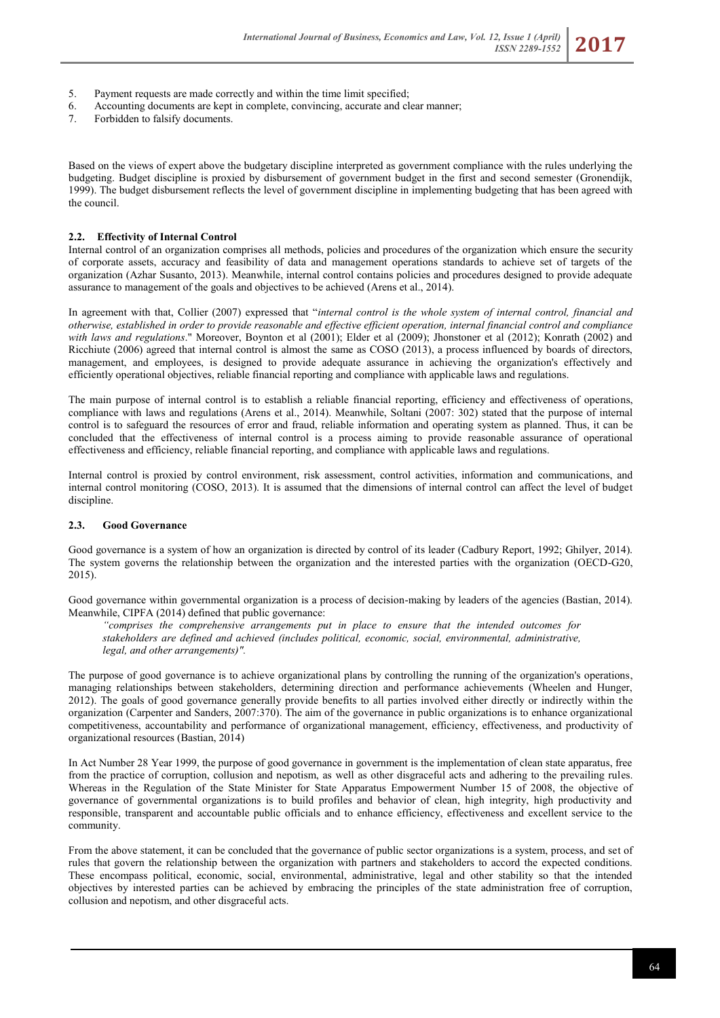- 5. Payment requests are made correctly and within the time limit specified;
- 6. Accounting documents are kept in complete, convincing, accurate and clear manner;
- 7. Forbidden to falsify documents.

Based on the views of expert above the budgetary discipline interpreted as government compliance with the rules underlying the budgeting. Budget discipline is proxied by disbursement of government budget in the first and second semester (Gronendijk, 1999). The budget disbursement reflects the level of government discipline in implementing budgeting that has been agreed with the council.

### **2.2. Effectivity of Internal Control**

Internal control of an organization comprises all methods, policies and procedures of the organization which ensure the security of corporate assets, accuracy and feasibility of data and management operations standards to achieve set of targets of the organization (Azhar Susanto, 2013). Meanwhile, internal control contains policies and procedures designed to provide adequate assurance to management of the goals and objectives to be achieved (Arens et al., 2014).

In agreement with that, Collier (2007) expressed that "*internal control is the whole system of internal control, financial and otherwise, established in order to provide reasonable and effective efficient operation, internal financial control and compliance with laws and regulations*." Moreover, Boynton et al (2001); Elder et al (2009); Jhonstoner et al (2012); Konrath (2002) and Ricchiute (2006) agreed that internal control is almost the same as COSO (2013), a process influenced by boards of directors, management, and employees, is designed to provide adequate assurance in achieving the organization's effectively and efficiently operational objectives, reliable financial reporting and compliance with applicable laws and regulations.

The main purpose of internal control is to establish a reliable financial reporting, efficiency and effectiveness of operations, compliance with laws and regulations (Arens et al., 2014). Meanwhile, Soltani (2007: 302) stated that the purpose of internal control is to safeguard the resources of error and fraud, reliable information and operating system as planned. Thus, it can be concluded that the effectiveness of internal control is a process aiming to provide reasonable assurance of operational effectiveness and efficiency, reliable financial reporting, and compliance with applicable laws and regulations.

Internal control is proxied by control environment, risk assessment, control activities, information and communications, and internal control monitoring (COSO, 2013). It is assumed that the dimensions of internal control can affect the level of budget discipline.

# **2.3. Good Governance**

Good governance is a system of how an organization is directed by control of its leader (Cadbury Report, 1992; Ghilyer, 2014). The system governs the relationship between the organization and the interested parties with the organization (OECD-G20, 2015).

Good governance within governmental organization is a process of decision-making by leaders of the agencies (Bastian, 2014). Meanwhile, CIPFA (2014) defined that public governance:

*"comprises the comprehensive arrangements put in place to ensure that the intended outcomes for stakeholders are defined and achieved (includes political, economic, social, environmental, administrative, legal, and other arrangements)".*

The purpose of good governance is to achieve organizational plans by controlling the running of the organization's operations, managing relationships between stakeholders, determining direction and performance achievements (Wheelen and Hunger, 2012). The goals of good governance generally provide benefits to all parties involved either directly or indirectly within the organization (Carpenter and Sanders, 2007:370). The aim of the governance in public organizations is to enhance organizational competitiveness, accountability and performance of organizational management, efficiency, effectiveness, and productivity of organizational resources (Bastian, 2014)

In Act Number 28 Year 1999, the purpose of good governance in government is the implementation of clean state apparatus, free from the practice of corruption, collusion and nepotism, as well as other disgraceful acts and adhering to the prevailing rules. Whereas in the Regulation of the State Minister for State Apparatus Empowerment Number 15 of 2008, the objective of governance of governmental organizations is to build profiles and behavior of clean, high integrity, high productivity and responsible, transparent and accountable public officials and to enhance efficiency, effectiveness and excellent service to the community.

From the above statement, it can be concluded that the governance of public sector organizations is a system, process, and set of rules that govern the relationship between the organization with partners and stakeholders to accord the expected conditions. These encompass political, economic, social, environmental, administrative, legal and other stability so that the intended objectives by interested parties can be achieved by embracing the principles of the state administration free of corruption, collusion and nepotism, and other disgraceful acts.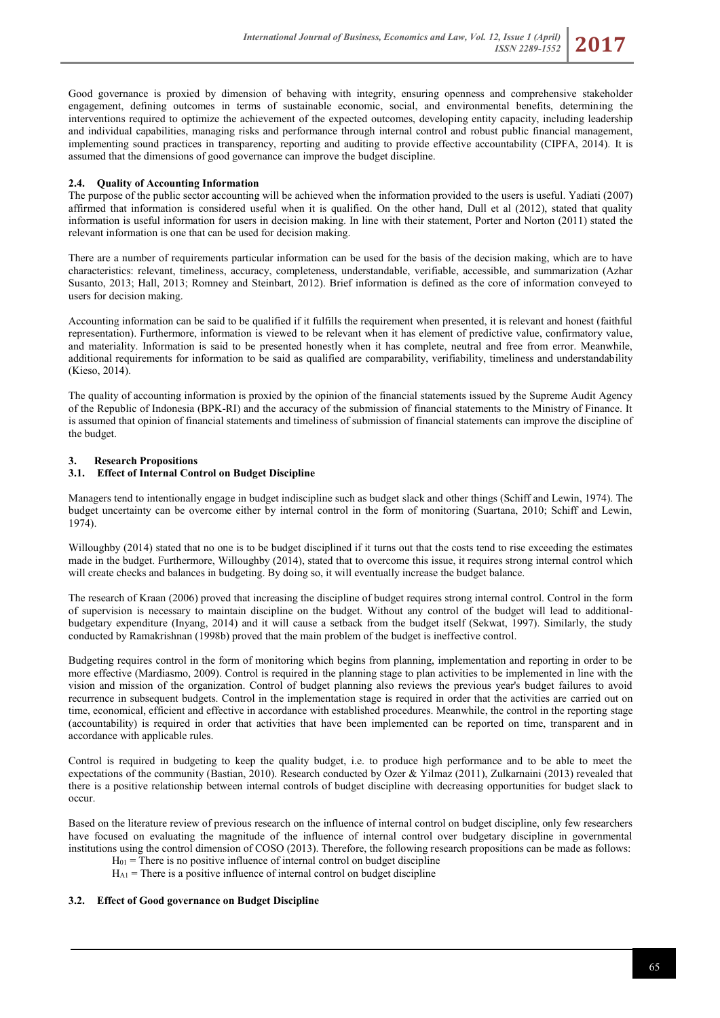Good governance is proxied by dimension of behaving with integrity, ensuring openness and comprehensive stakeholder engagement, defining outcomes in terms of sustainable economic, social, and environmental benefits, determining the interventions required to optimize the achievement of the expected outcomes, developing entity capacity, including leadership and individual capabilities, managing risks and performance through internal control and robust public financial management, implementing sound practices in transparency, reporting and auditing to provide effective accountability (CIPFA, 2014). It is assumed that the dimensions of good governance can improve the budget discipline.

# **2.4. Quality of Accounting Information**

The purpose of the public sector accounting will be achieved when the information provided to the users is useful. Yadiati (2007) affirmed that information is considered useful when it is qualified. On the other hand, Dull et al (2012), stated that quality information is useful information for users in decision making. In line with their statement, Porter and Norton (2011) stated the relevant information is one that can be used for decision making.

There are a number of requirements particular information can be used for the basis of the decision making, which are to have characteristics: relevant, timeliness, accuracy, completeness, understandable, verifiable, accessible, and summarization (Azhar Susanto, 2013; Hall, 2013; Romney and Steinbart, 2012). Brief information is defined as the core of information conveyed to users for decision making.

Accounting information can be said to be qualified if it fulfills the requirement when presented, it is relevant and honest (faithful representation). Furthermore, information is viewed to be relevant when it has element of predictive value, confirmatory value, and materiality. Information is said to be presented honestly when it has complete, neutral and free from error. Meanwhile, additional requirements for information to be said as qualified are comparability, verifiability, timeliness and understandability (Kieso, 2014).

The quality of accounting information is proxied by the opinion of the financial statements issued by the Supreme Audit Agency of the Republic of Indonesia (BPK-RI) and the accuracy of the submission of financial statements to the Ministry of Finance. It is assumed that opinion of financial statements and timeliness of submission of financial statements can improve the discipline of the budget.

# **3. Research Propositions**

# **3.1. Effect of Internal Control on Budget Discipline**

Managers tend to intentionally engage in budget indiscipline such as budget slack and other things (Schiff and Lewin, 1974). The budget uncertainty can be overcome either by internal control in the form of monitoring (Suartana, 2010; Schiff and Lewin, 1974).

Willoughby (2014) stated that no one is to be budget disciplined if it turns out that the costs tend to rise exceeding the estimates made in the budget. Furthermore, Willoughby (2014), stated that to overcome this issue, it requires strong internal control which will create checks and balances in budgeting. By doing so, it will eventually increase the budget balance.

The research of Kraan (2006) proved that increasing the discipline of budget requires strong internal control. Control in the form of supervision is necessary to maintain discipline on the budget. Without any control of the budget will lead to additionalbudgetary expenditure (Inyang, 2014) and it will cause a setback from the budget itself (Sekwat, 1997). Similarly, the study conducted by Ramakrishnan (1998b) proved that the main problem of the budget is ineffective control.

Budgeting requires control in the form of monitoring which begins from planning, implementation and reporting in order to be more effective (Mardiasmo, 2009). Control is required in the planning stage to plan activities to be implemented in line with the vision and mission of the organization. Control of budget planning also reviews the previous year's budget failures to avoid recurrence in subsequent budgets. Control in the implementation stage is required in order that the activities are carried out on time, economical, efficient and effective in accordance with established procedures. Meanwhile, the control in the reporting stage (accountability) is required in order that activities that have been implemented can be reported on time, transparent and in accordance with applicable rules.

Control is required in budgeting to keep the quality budget, i.e. to produce high performance and to be able to meet the expectations of the community (Bastian, 2010). Research conducted by Ozer & Yilmaz (2011), Zulkarnaini (2013) revealed that there is a positive relationship between internal controls of budget discipline with decreasing opportunities for budget slack to occur.

Based on the literature review of previous research on the influence of internal control on budget discipline, only few researchers have focused on evaluating the magnitude of the influence of internal control over budgetary discipline in governmental institutions using the control dimension of COSO (2013). Therefore, the following research propositions can be made as follows:

 $H<sub>01</sub>$  = There is no positive influence of internal control on budget discipline

 $H_{A1}$  = There is a positive influence of internal control on budget discipline

# **3.2. Effect of Good governance on Budget Discipline**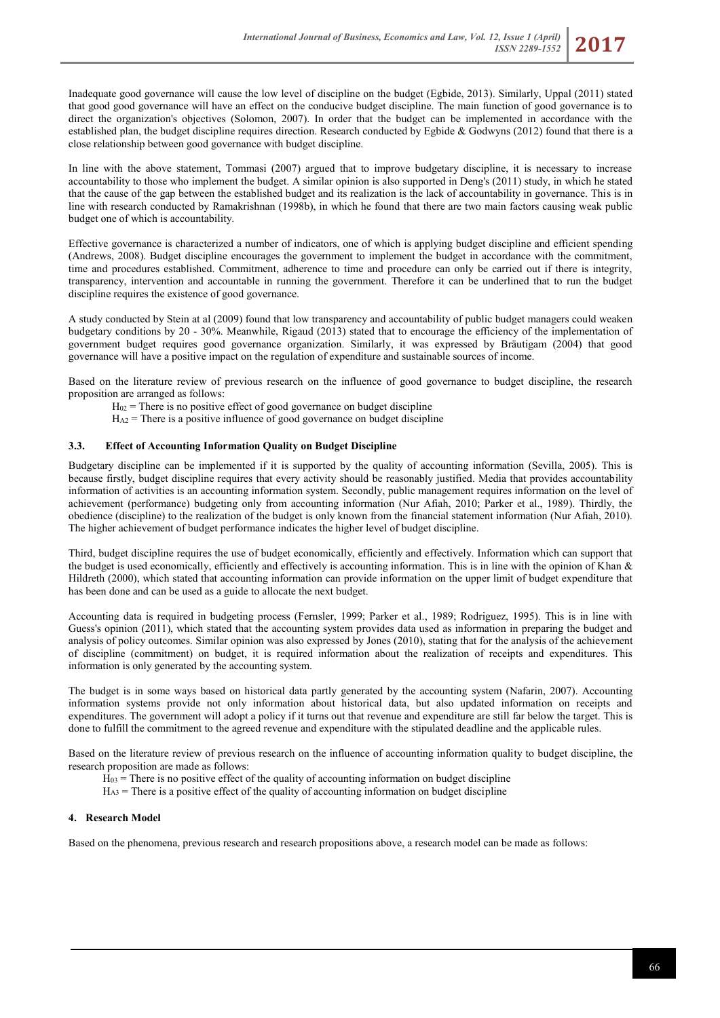Inadequate good governance will cause the low level of discipline on the budget (Egbide, 2013). Similarly, Uppal (2011) stated that good good governance will have an effect on the conducive budget discipline. The main function of good governance is to direct the organization's objectives (Solomon, 2007). In order that the budget can be implemented in accordance with the established plan, the budget discipline requires direction. Research conducted by Egbide & Godwyns (2012) found that there is a close relationship between good governance with budget discipline.

In line with the above statement, Tommasi (2007) argued that to improve budgetary discipline, it is necessary to increase accountability to those who implement the budget. A similar opinion is also supported in Deng's (2011) study, in which he stated that the cause of the gap between the established budget and its realization is the lack of accountability in governance. This is in line with research conducted by Ramakrishnan (1998b), in which he found that there are two main factors causing weak public budget one of which is accountability.

Effective governance is characterized a number of indicators, one of which is applying budget discipline and efficient spending (Andrews, 2008). Budget discipline encourages the government to implement the budget in accordance with the commitment, time and procedures established. Commitment, adherence to time and procedure can only be carried out if there is integrity, transparency, intervention and accountable in running the government. Therefore it can be underlined that to run the budget discipline requires the existence of good governance.

A study conducted by Stein at al (2009) found that low transparency and accountability of public budget managers could weaken budgetary conditions by 20 - 30%. Meanwhile, Rigaud (2013) stated that to encourage the efficiency of the implementation of government budget requires good governance organization. Similarly, it was expressed by Bräutigam (2004) that good governance will have a positive impact on the regulation of expenditure and sustainable sources of income.

Based on the literature review of previous research on the influence of good governance to budget discipline, the research proposition are arranged as follows:

- $H_{02}$  = There is no positive effect of good governance on budget discipline
- $H_{A2}$  = There is a positive influence of good governance on budget discipline

# **3.3. Effect of Accounting Information Quality on Budget Discipline**

Budgetary discipline can be implemented if it is supported by the quality of accounting information (Sevilla, 2005). This is because firstly, budget discipline requires that every activity should be reasonably justified. Media that provides accountability information of activities is an accounting information system. Secondly, public management requires information on the level of achievement (performance) budgeting only from accounting information (Nur Afiah, 2010; Parker et al., 1989). Thirdly, the obedience (discipline) to the realization of the budget is only known from the financial statement information (Nur Afiah, 2010). The higher achievement of budget performance indicates the higher level of budget discipline.

Third, budget discipline requires the use of budget economically, efficiently and effectively. Information which can support that the budget is used economically, efficiently and effectively is accounting information. This is in line with the opinion of Khan & Hildreth (2000), which stated that accounting information can provide information on the upper limit of budget expenditure that has been done and can be used as a guide to allocate the next budget.

Accounting data is required in budgeting process (Fernsler, 1999; Parker et al., 1989; Rodriguez, 1995). This is in line with Guess's opinion (2011), which stated that the accounting system provides data used as information in preparing the budget and analysis of policy outcomes. Similar opinion was also expressed by Jones (2010), stating that for the analysis of the achievement of discipline (commitment) on budget, it is required information about the realization of receipts and expenditures. This information is only generated by the accounting system.

The budget is in some ways based on historical data partly generated by the accounting system (Nafarin, 2007). Accounting information systems provide not only information about historical data, but also updated information on receipts and expenditures. The government will adopt a policy if it turns out that revenue and expenditure are still far below the target. This is done to fulfill the commitment to the agreed revenue and expenditure with the stipulated deadline and the applicable rules.

Based on the literature review of previous research on the influence of accounting information quality to budget discipline, the research proposition are made as follows:

- $H_{03}$  = There is no positive effect of the quality of accounting information on budget discipline
- $H_{A3}$  = There is a positive effect of the quality of accounting information on budget discipline

### **4. Research Model**

Based on the phenomena, previous research and research propositions above, a research model can be made as follows: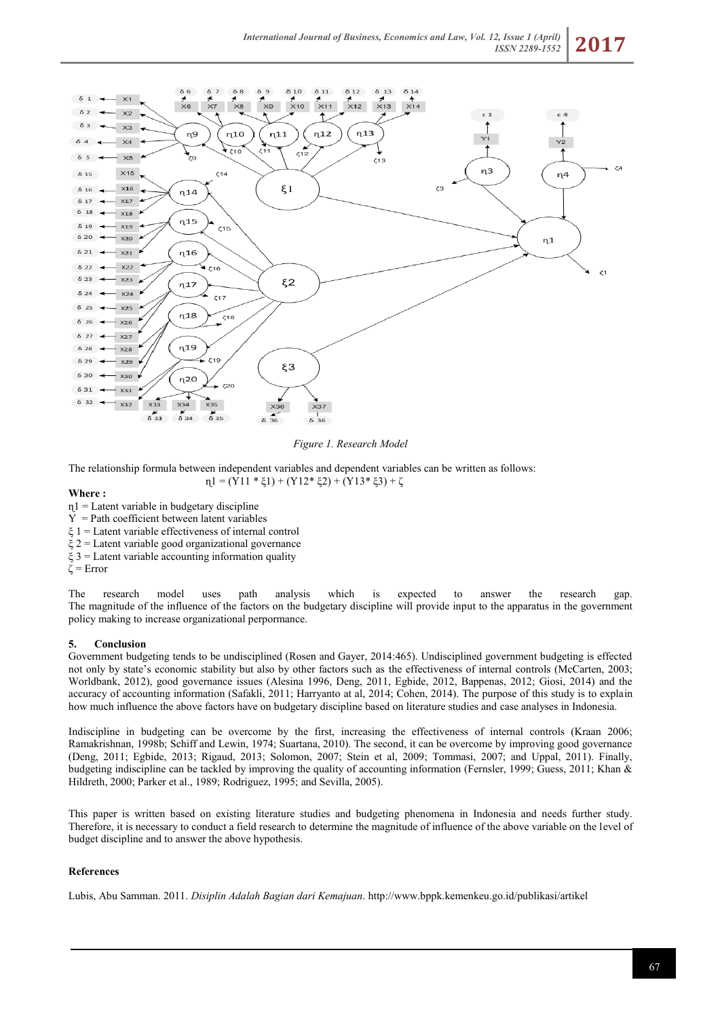

### *Figure 1. Research Model*

The relationship formula between independent variables and dependent variables can be written as follows:  $\eta_1 = (Y11 * \xi_1) + (Y12 * \xi_2) + (Y13 * \xi_3) + \zeta$ 

### **Where :**

- $\eta$ 1 = Latent variable in budgetary discipline
- $Y = Path coefficient between latent variables$
- $\xi$  1 = Latent variable effectiveness of internal control
- $\xi$  2 = Latent variable good organizational governance
- $\xi$  3 = Latent variable accounting information quality

ζ = Error

The research model uses path analysis which is expected to answer the research gap. The magnitude of the influence of the factors on the budgetary discipline will provide input to the apparatus in the government policy making to increase organizational perpormance.

# **5. Conclusion**

Government budgeting tends to be undisciplined (Rosen and Gayer, 2014:465). Undisciplined government budgeting is effected not only by state's economic stability but also by other factors such as the effectiveness of internal controls (McCarten, 2003; Worldbank, 2012), good governance issues (Alesina 1996, Deng, 2011, Egbide, 2012, Bappenas, 2012; Giosi, 2014) and the accuracy of accounting information (Safakli, 2011; Harryanto at al, 2014; Cohen, 2014). The purpose of this study is to explain how much influence the above factors have on budgetary discipline based on literature studies and case analyses in Indonesia.

Indiscipline in budgeting can be overcome by the first, increasing the effectiveness of internal controls (Kraan 2006; Ramakrishnan, 1998b; Schiff and Lewin, 1974; Suartana, 2010). The second, it can be overcome by improving good governance (Deng, 2011; Egbide, 2013; Rigaud, 2013; Solomon, 2007; Stein et al, 2009; Tommasi, 2007; and Uppal, 2011). Finally, budgeting indiscipline can be tackled by improving the quality of accounting information (Fernsler, 1999; Guess, 2011; Khan & Hildreth, 2000; Parker et al., 1989; Rodriguez, 1995; and Sevilla, 2005).

This paper is written based on existing literature studies and budgeting phenomena in Indonesia and needs further study. Therefore, it is necessary to conduct a field research to determine the magnitude of influence of the above variable on the level of budget discipline and to answer the above hypothesis.

### **References**

Lubis, Abu Samman. 2011. *Disiplin Adalah Bagian dari Kemajuan*[. http://www.bppk.kemenkeu.go.id/publikasi/artikel](http://www.bppk.kemenkeu.go.id/publikasi/artikel)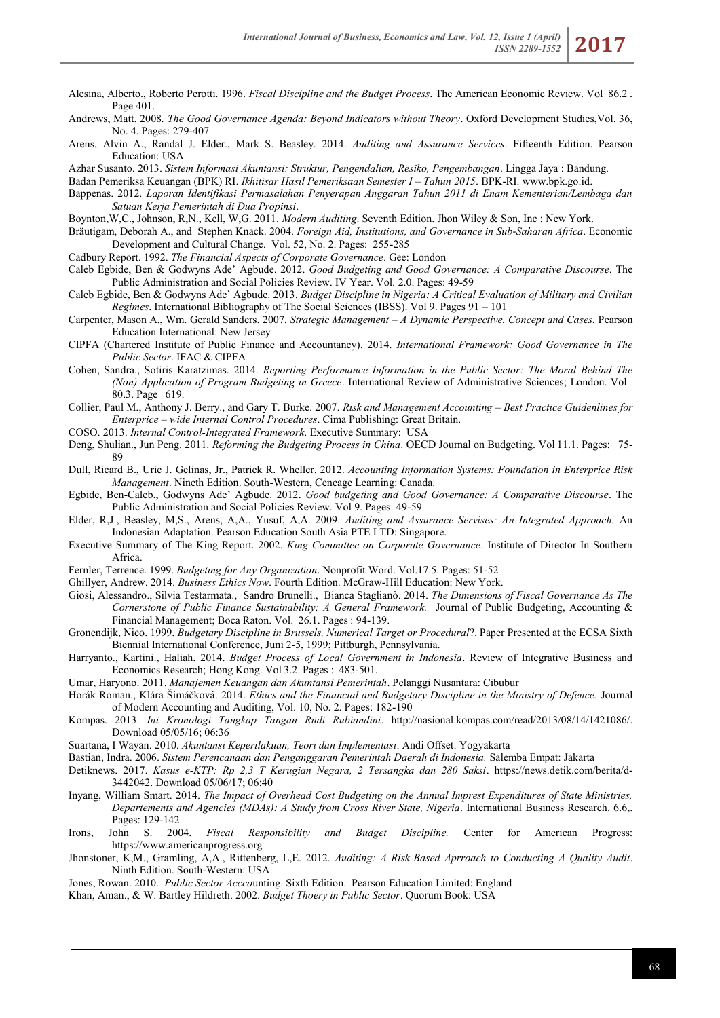- Alesina, Alberto., Roberto Perotti. 1996. *Fiscal Discipline and the Budget Process*. [The American Economic Review.](http://e-resources.perpusnas.go.id:2071/socscijournals/pubidlinkhandler/sng/pubtitle/The+American+Economic+Review/$N/42182/DocView/233033223/fulltext/159CE37A3DC8432FPQ/3?accountid=25704) Vol [86.2](http://e-resources.perpusnas.go.id:2071/socscijournals/indexingvolumeissuelinkhandler/42182/The+American+Economic+Review/01996Y05Y01$23May+1996$3b++Vol.+86+$282$29/86/2?accountid=25704) [.](http://e-resources.perpusnas.go.id:2071/socscijournals/indexingvolumeissuelinkhandler/42182/The+American+Economic+Review/01996Y05Y01$23May+1996$3b++Vol.+86+$282$29/86/2?accountid=25704) Page 401.
- Andrews, Matt. 2008*. The Good Governance Agenda: Beyond Indicators without Theory*. Oxford Development Studies,Vol. 36, No. 4. Pages: 279-407
- Arens, Alvin A., Randal J. Elder., Mark S. Beasley. 2014. *Auditing and Assurance Services*. Fifteenth Edition. Pearson Education: USA
- Azhar Susanto. 2013. *Sistem Informasi Akuntansi: Struktur, Pengendalian, Resiko, Pengembangan*. Lingga Jaya : Bandung.
- Badan Pemeriksa Keuangan (BPK) RI. *Ikhitisar Hasil Pemeriksaan Semester I – Tahun 2015*. BPK-RI. [www.bpk.go.id.](http://www.bpk.go.id/)
- Bappenas. 2012. *Laporan Identifikasi Permasalahan Penyerapan Anggaran Tahun 2011 di Enam Kementerian/Lembaga dan Satuan Kerja Pemerintah di Dua Propinsi*.
- Boynton,W,C., Johnson, R,N., Kell, W,G. 2011. *Modern Auditing*. Seventh Edition. Jhon Wiley & Son, Inc : New York.
- Bräutigam, Deborah A., and Stephen Knack. 2004. *Foreign Aid, Institutions, and Governance in Sub‐Saharan Africa*. Economic Development and Cultural Change. Vol. 52, No. 2. Pages: 255-285
- Cadbury Report. 1992. *The Financial Aspects of Corporate Governance*. Gee: London
- Caleb Egbide, Ben & Godwyns Ade' Agbude. 2012. *Good Budgeting and Good Governance: A Comparative Discourse*. The Public Administration and Social Policies Review. IV Year. Vol. 2.0. Pages: 49-59
- Caleb Egbide, Ben & Godwyns Ade' Agbude. 2013. *Budget Discipline in Nigeria: A Critical Evaluation of Military and Civilian Regimes*. International Bibliography of The Social Sciences (IBSS). Vol 9. Pages 91 – 101
- Carpenter, Mason A., Wm. Gerald Sanders. 2007. *Strategic Management – A Dynamic Perspective. Concept and Cases.* Pearson Education International: New Jersey
- CIPFA (Chartered Institute of Public Finance and Accountancy). 2014. *International Framework: Good Governance in The Public Sector*. IFAC & CIPFA
- [Cohen, Sandra.](http://e-resources.perpusnas.go.id:2071/ibss/indexinglinkhandler/sng/au/Cohen,+Sandra/$N?accountid=25704), Sotiris Karatzimas. 2014. *Reporting Performance Information in the Public Sector: The Moral Behind The (Non) Application of Program Budgeting in Greece*. [International Review of Administrative Sciences;](http://e-resources.perpusnas.go.id:2071/ibss/pubidlinkhandler/sng/pubtitle/International+Review+of+Administrative+Sciences/$N/27405/DocView/1672629822/abstract/7ED962E673674703PQ/15?accountid=25704) London. Vol [80.3. Page 6](http://e-resources.perpusnas.go.id:2071/ibss/indexingvolumeissuelinkhandler/27405/International+Review+of+Administrative+Sciences/02014Y09Y01$23Sep+2014$3b++Vol.+80+$283$29/80/3?accountid=25704)19.
- Collier, Paul M., Anthony J. Berry., and Gary T. Burke. 2007. *Risk and Management Accounting – Best Practice Guidenlines for Enterprice – wide Internal Control Procedures*. Cima Publishing: Great Britain.
- COSO. 2013. *Internal Control-Integrated Framework*. Executive Summary: USA
- [Deng, Shulian.,](http://e-resources.perpusnas.go.id:2071/ibss/indexinglinkhandler/sng/au/Deng,+Shulian/$N?accountid=25704) Jun [Peng.](http://e-resources.perpusnas.go.id:2071/ibss/indexinglinkhandler/sng/au/Peng,+Jun/$N?accountid=25704) 2011. *Reforming the Budgeting Process in China*. [OECD Journal on Budgeting.](http://e-resources.perpusnas.go.id:2071/ibss/pubidlinkhandler/sng/pubtitle/OECD+journal+on+budgeting/$N?accountid=25704) Vol [11.1. Pages:](http://e-resources.perpusnas.go.id:2071/ibss/indexingvolumeissuelinkhandler/23473/OECD+journal+on+budgeting/02011Y01Y01$232011$3b++Vol.+11+$281$29/11/1?accountid=25704) 75- 89
- Dull, Ricard B., Uric J. Gelinas, Jr., Patrick R. Wheller. 2012. *Accounting Information Systems: Foundation in Enterprice Risk Management*. Nineth Edition. South-Western, Cencage Learning: Canada.
- Egbide, Ben-Caleb., Godwyns Ade' Agbude. 2012. *Good budgeting and Good Governance: A Comparative Discourse*. The Public Administration and Social Policies Review. Vol 9. Pages: 49-59
- Elder, R,J., Beasley, M,S., Arens, A,A., Yusuf, A,A. 2009. *Auditing and Assurance Servises: An Integrated Approach.* An Indonesian Adaptation. Pearson Education South Asia PTE LTD: Singapore.
- Executive Summary of The King Report. 2002. *King Committee on Corporate Governance*. Institute of Director In Southern Africa.
- Fernler, Terrence. 1999. *Budgeting for Any Organization*. Nonprofit Word. Vol.17.5. Pages: 51-52
- Ghillyer, Andrew. 2014. *Business Ethics Now*. Fourth Edition. McGraw-Hill Education: New York.
- [Giosi, Alessandro.,](http://e-resources.perpusnas.go.id:2071/indexinglinkhandler/sng/au/Giosi,+Alessandro/$N?accountid=25704) Silvia [Testarmata.,](http://e-resources.perpusnas.go.id:2071/indexinglinkhandler/sng/au/Testarmata,+Silvia/$N?accountid=25704) Sandro Brunelli., Bianca Staglianò. 2014. *The Dimensions of Fiscal Governance As The Cornerstone of Public Finance Sustainability: A General Framework.* [Journal of Public Budgeting, Accounting &](http://e-resources.perpusnas.go.id:2071/pubidlinkhandler/sng/pubtitle/Journal+of+Public+Budgeting,+Accounting+$26+Financial+Management/$N/33029/DocView/1540956617/fulltext/8E9EC31124E349DAPQ/4?accountid=25704)  [Financial Management;](http://e-resources.perpusnas.go.id:2071/pubidlinkhandler/sng/pubtitle/Journal+of+Public+Budgeting,+Accounting+$26+Financial+Management/$N/33029/DocView/1540956617/fulltext/8E9EC31124E349DAPQ/4?accountid=25704) Boca Raton. Vol. [26.1. Pages](http://e-resources.perpusnas.go.id:2071/indexingvolumeissuelinkhandler/33029/Journal+of+Public+Budgeting,+Accounting+$26+Financial+Management/02014Y04Y01$23Spring+2014$3b++Vol.+26+$281$29/26/1?accountid=25704) [:](http://e-resources.perpusnas.go.id:2071/indexingvolumeissuelinkhandler/33029/Journal+of+Public+Budgeting,+Accounting+$26+Financial+Management/02014Y04Y01$23Spring+2014$3b++Vol.+26+$281$29/26/1?accountid=25704) 94-139.
- Gronendijk, Nico. 1999. *Budgetary Discipline in Brussels, Numerical Target or Procedural*?. Paper Presented at the ECSA Sixth Biennial International Conference, Juni 2-5, 1999; Pittburgh, Pennsylvania.
- [Harryanto.](http://search.proquest.com/indexinglinkhandler/sng/au/Harryanto/$N?accountid=48290), [Kartini.](http://search.proquest.com/indexinglinkhandler/sng/au/Kartini/$N?accountid=48290), [Haliah.](http://search.proquest.com/indexinglinkhandler/sng/au/Haliah/$N?accountid=48290) 2014. *Budget Process of Local Government in Indonesia*. [Review of Integrative Business and](http://search.proquest.com/pubidlinkhandler/sng/pubtitle/Review+of+Integrative+Business+and+Economics+Research/$N/2032316/DocView/1553397418/fulltext/6931620E2865437CPQ/1?accountid=48290)  [Economics Research;](http://search.proquest.com/pubidlinkhandler/sng/pubtitle/Review+of+Integrative+Business+and+Economics+Research/$N/2032316/DocView/1553397418/fulltext/6931620E2865437CPQ/1?accountid=48290) Hong Kong. Vol [3.2. Pages :](http://search.proquest.com/indexingvolumeissuelinkhandler/2032316/Review+of+Integrative+Business+and+Economics+Research/02014Y07Y01$232014$3b++Vol.+3+$282$29/3/2?accountid=48290) 483-501.
- Umar, Haryono. 2011. *Manajemen Keuangan dan Akuntansi Pemerintah*. Pelanggi Nusantara: Cibubur
- Horák Roman., Klára Šimáčková. 2014. *Ethics and the Financial and Budgetary Discipline in the Ministry of Defence.* Journal of Modern Accounting and Auditing, Vol. 10, No. 2. Pages: 182-190
- Kompas. 2013. *Ini Kronologi Tangkap Tangan Rudi Rubiandini*. [http://nasional.kompas.com/read/2013/08/14/1421086/.](http://nasional.kompas.com/read/2013/08/14/1421086/) Download 05/05/16; 06:36
- Suartana, I Wayan. 2010. *Akuntansi Keperilakuan, Teori dan Implementasi*. Andi Offset: Yogyakarta
- Bastian, Indra. 2006. *Sistem Perencanaan dan Penganggaran Pemerintah Daerah di Indonesia.* Salemba Empat: Jakarta
- Detiknews. 2017. *Kasus e-KTP: Rp 2,3 T Kerugian Negara, 2 Tersangka dan 280 Saksi*. [https://news.detik.com/berita/d-](https://news.detik.com/berita/d-3442042)[3442042.](https://news.detik.com/berita/d-3442042) Download 05/06/17; 06:40
- Inyang, William Smart. 2014. *The Impact of Overhead Cost Budgeting on the Annual Imprest Expenditures of State Ministries, Departements and Agencies (MDAs): A Study from Cross River State, Nigeria*. International Business Research. 6.6,. Pages: 129-142
- Irons, John S. 2004. *Fiscal Responsibility and Budget Discipline.* Center for American Progress: [https://www.americanprogress.org](https://www.americanprogress.org/)
- Jhonstoner, K,M., Gramling, A,A., Rittenberg, L,E. 2012. *Auditing: A Risk-Based Aprroach to Conducting A Quality Audit*. Ninth Edition. South-Western: USA.
- Jones, Rowan. 2010. *Public Sector Accco*unting. Sixth Edition. Pearson Education Limited: England
- Khan, Aman., & W. Bartley Hildreth. 2002. *Budget Thoery in Public Sector*. Quorum Book: USA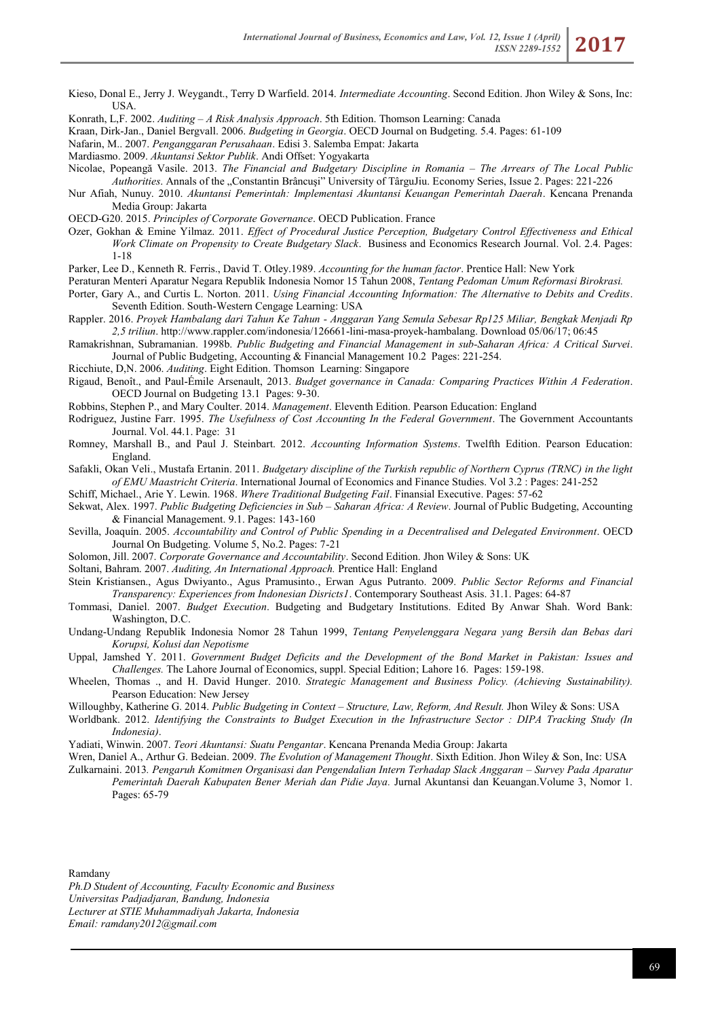- Kieso, Donal E., Jerry J. Weygandt., Terry D Warfield. 2014. *Intermediate Accounting*. Second Edition. Jhon Wiley & Sons, Inc: **USA**
- Konrath, L,F. 2002. *Auditing – A Risk Analysis Approach*. 5th Edition. Thomson Learning: Canada
- Kraan, Dirk-Jan., Daniel Bergvall. 2006. *Budgeting in Georgia*. OECD Journal on Budgeting. 5.4. Pages: 61-109
- Nafarin, M.. 2007. *Penganggaran Perusahaan*. Edisi 3. Salemba Empat: Jakarta
- Mardiasmo. 2009. *Akuntansi Sektor Publik*. Andi Offset: Yogyakarta
- Nicolae, Popeangă Vasile. 2013. *The Financial and Budgetary Discipline in Romania – The Arrears of The Local Public Authorities*. Annals of the "Constantin Brâncuși" University of TârguJiu. Economy Series, Issue 2. Pages: 221-226
- Nur Afiah, Nunuy. 2010. *Akuntansi Pemerintah: Implementasi Akuntansi Keuangan Pemerintah Daerah*. Kencana Prenanda Media Group: Jakarta
- OECD-G20. 2015. *Principles of Corporate Governance*. OECD Publication. France
- Ozer, Gokhan & Emine Yilmaz. 2011. *Effect of Procedural Justice Perception, Budgetary Control Effectiveness and Ethical Work Climate on Propensity to Create Budgetary Slack*. Business and Economics Research Journal. Vol. 2.4. Pages: 1-18

Parker, Lee D., Kenneth R. Ferris., David T. Otley.1989. *Accounting for the human factor*. Prentice Hall: New York

- Peraturan Menteri Aparatur Negara Republik Indonesia Nomor 15 Tahun 2008, *Tentang Pedoman Umum Reformasi Birokrasi.*
- Porter, Gary A., and Curtis L. Norton. 2011. *Using Financial Accounting Information: The Alternative to Debits and Credits*. Seventh Edition. South-Western Cengage Learning: USA
- Rappler. 2016. *Proyek Hambalang dari Tahun Ke Tahun - Anggaran Yang Semula Sebesar Rp125 Miliar, Bengkak Menjadi Rp 2,5 triliun*[. http://www.rappler.com/indonesia/126661-lini-masa-proyek-hambalang.](http://www.rappler.com/indonesia/126661-lini-masa-proyek-hambalang) Download 05/06/17; 06:45
- Ramakrishnan, Subramanian. 1998b. *Public Budgeting and Financial Management in sub-Saharan Africa: A Critical Survei*. [Journal of Public Budgeting, Accounting & Financial Management](http://search.proquest.com/pubidlinkhandler/sng/pubtitle/Journal+of+Public+Budgeting,+Accounting+$26+Financial+Management/$N/33029/DocView/205001769/fulltext/7325EBC1B3E346C5PQ/388?accountid=48290) [10.2](http://search.proquest.com/pubidlinkhandler/sng/pubtitle/Journal+of+Public+Budgeting,+Accounting+$26+Financial+Management/$N/33029/DocView/205001769/fulltext/7325EBC1B3E346C5PQ/388?accountid=48290) Pages: 221-254.
- Ricchiute, D,N. 2006. *Auditing*. Eight Edition. Thomson Learning: Singapore
- [Rigaud, Benoît.](http://search.proquest.com/indexinglinkhandler/sng/au/Rigaud,+Beno$eet/$N?accountid=48290), and Paul-Émile [Arsenault, 2](http://search.proquest.com/indexinglinkhandler/sng/au/Arsenault,+Paul-$c9mile/$N?accountid=48290)013. *Budget governance in Canada: Comparing Practices Within A Federation*. [OECD Journal on Budgeting](http://search.proquest.com/pubidlinkhandler/sng/pubtitle/OECD+Journal+on+Budgeting/$N/44222/DocView/1476271832/fulltext/6271CF74D1D34F09PQ/13?accountid=48290) [13.1](http://search.proquest.com/pubidlinkhandler/sng/pubtitle/OECD+Journal+on+Budgeting/$N/44222/DocView/1476271832/fulltext/6271CF74D1D34F09PQ/13?accountid=48290) Pages: 9-30.
- Robbins, Stephen P., and Mary Coulter. 2014. *Management*. Eleventh Edition. Pearson Education: England
- [Rodriguez, Justine Farr.](http://search.proquest.com/indexinglinkhandler/sng/au/Rodriguez,+Justine+Farr/$N?accountid=48290) 1995. *The Usefulness of Cost Accounting In the Federal Government*. [The Government Accountants](http://search.proquest.com/pubidlinkhandler/sng/pubtitle/The+Government+Accountants+Journal/$N/26015/DocView/222431652/fulltext/86E870CFE0274A09PQ/1?accountid=48290)  [Journal.](http://search.proquest.com/pubidlinkhandler/sng/pubtitle/The+Government+Accountants+Journal/$N/26015/DocView/222431652/fulltext/86E870CFE0274A09PQ/1?accountid=48290) Vol[.](http://search.proquest.com/indexingvolumeissuelinkhandler/26015/The+Government+Accountants+Journal/01995Y04Y01$23Spring+1995$3b++Vol.+44+$281$29/44/1?accountid=48290) [44.1. Page:](http://search.proquest.com/indexingvolumeissuelinkhandler/26015/The+Government+Accountants+Journal/01995Y04Y01$23Spring+1995$3b++Vol.+44+$281$29/44/1?accountid=48290) 31
- Romney, Marshall B., and Paul J. Steinbart. 2012. *Accounting Information Systems*. Twelfth Edition. Pearson Education: England.
- [Safakli, Okan Veli.,](http://e-resources.perpusnas.go.id:2071/ibss/indexinglinkhandler/sng/au/Safakli,+Okan+Veli/$N?accountid=25704) [Mustafa](http://e-resources.perpusnas.go.id:2071/ibss/indexinglinkhandler/sng/au/Ertanin,+Mustafa/$N?accountid=25704) Ertanin. 2011. *Budgetary discipline of the Turkish republic of Northern Cyprus (TRNC) in the light of EMU Maastricht Criteria*. [International Journal of Economics](http://e-resources.perpusnas.go.id:2071/ibss/pubidlinkhandler/sng/pubtitle/International+journal+of+economics+and+finance+studies/$N?accountid=25704) and Finance Studies. Vo[l](http://e-resources.perpusnas.go.id:2071/ibss/indexingvolumeissuelinkhandler/23473/International+journal+of+economics+and+finance+studies/02011Y01Y01$232011$3b++Vol.+3+$282$29/3/2?accountid=25704) [3.2](http://e-resources.perpusnas.go.id:2071/ibss/indexingvolumeissuelinkhandler/23473/International+journal+of+economics+and+finance+studies/02011Y01Y01$232011$3b++Vol.+3+$282$29/3/2?accountid=25704) : Pages: 241-252

Schiff, Michael., Arie Y. Lewin. 1968. *Where Traditional Budgeting Fail*. Finansial Executive. Pages: 57-62

- Sekwat, Alex. 1997. *Public Budgeting Deficiencies in Sub – Saharan Africa: A Review*. Journal of Public Budgeting, Accounting & Financial Management. 9.1. Pages: 143-160
- Sevilla, Joaquín. 2005. *Accountability and Control of Public Spending in a Decentralised and Delegated Environment*. OECD Journal On Budgeting. Volume 5, No.2. Pages: 7-21

Solomon, Jill. 2007. *Corporate Governance and Accountability*. Second Edition. Jhon Wiley & Sons: UK

Soltani, Bahram. 2007. *Auditing, An International Approach.* Prentice Hall: England

- Stein Kristiansen., Agus Dwiyanto., Agus Pramusinto., Erwan Agus Putranto. 2009. *Public Sector Reforms and Financial Transparency: Experiences from Indonesian Disricts1*. Contemporary Southeast Asis. 31.1. Pages: 64-87
- Tommasi, Daniel. 2007. *Budget Execution*. Budgeting and Budgetary Institutions. Edited By Anwar Shah. Word Bank: Washington, D.C.
- Undang-Undang Republik Indonesia Nomor 28 Tahun 1999, *Tentang Penyelenggara Negara yang Bersih dan Bebas dari Korupsi, Kolusi dan Nepotisme*
- Uppal, Jamshed Y. 2011. *Government Budget Deficits and the Development of the Bond Market in Pakistan: Issues and Challenges.* [The Lahore Journal of Economics, suppl. Special Edition;](http://e-resources.perpusnas.go.id:2071/socscijournals/pubidlinkhandler/sng/pubtitle/The+Lahore+Journal+of+Economics/$N/55117/DocView/900176138/fulltext/159CE37A3DC8432FPQ/2?accountid=25704) Lahor[e](http://e-resources.perpusnas.go.id:2071/socscijournals/indexingvolumeissuelinkhandler/55117/The+Lahore+Journal+of+Economics/02011Y09Y01$23Sep+2011$3b++Vol.+16,+Supp.+Special+Edition+2011/16/$B?accountid=25704) [16.](http://e-resources.perpusnas.go.id:2071/socscijournals/indexingvolumeissuelinkhandler/55117/The+Lahore+Journal+of+Economics/02011Y09Y01$23Sep+2011$3b++Vol.+16,+Supp.+Special+Edition+2011/16/$B?accountid=25704) Pages: 159-198.
- Wheelen, Thomas ., and H. David Hunger. 2010. *Strategic Management and Business Policy. (Achieving Sustainability).* Pearson Education: New Jersey
- Willoughby, Katherine G. 2014. *Public Budgeting in Context – Structure, Law, Reform, And Result.* Jhon Wiley & Sons: USA
- Worldbank. 2012. *Identifying the Constraints to Budget Execution in the Infrastructure Sector : DIPA Tracking Study (In Indonesia)*.
- Yadiati, Winwin. 2007. *Teori Akuntansi: Suatu Pengantar*. Kencana Prenanda Media Group: Jakarta
- Wren, Daniel A., Arthur G. Bedeian. 2009. *The Evolution of Management Thought*. Sixth Edition. Jhon Wiley & Son, Inc: USA
- Zulkarnaini. 2013*. Pengaruh Komitmen Organisasi dan Pengendalian Intern Terhadap Slack Anggaran – Survey Pada Aparatur Pemerintah Daerah Kabupaten Bener Meriah dan Pidie Jaya.* Jurnal Akuntansi dan Keuangan.Volume 3, Nomor 1. Pages: 65-79

Ramdany

*Ph.D Student of Accounting, Faculty Economic and Business Universitas Padjadjaran, Bandung, Indonesia Lecturer at STIE Muhammadiyah Jakarta, Indonesia Email: ramdany2012@gmail.com*